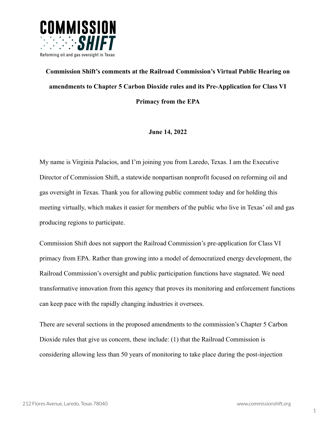

## **Commission Shift's comments at the Railroad Commission's Virtual Public Hearing on amendments to Chapter 5 Carbon Dioxide rules and its Pre-Application for Class VI Primacy from the EPA**

## **June 14, 2022**

My name is Virginia Palacios, and I'm joining you from Laredo, Texas. I am the Executive Director of Commission Shift, a statewide nonpartisan nonprofit focused on reforming oil and gas oversight in Texas. Thank you for allowing public comment today and for holding this meeting virtually, which makes it easier for members of the public who live in Texas' oil and gas producing regions to participate.

Commission Shift does not support the Railroad Commission's pre-application for Class VI primacy from EPA. Rather than growing into a model of democratized energy development, the Railroad Commission's oversight and public participation functions have stagnated. We need transformative innovation from this agency that proves its monitoring and enforcement functions can keep pace with the rapidly changing industries it oversees.

There are several sections in the proposed amendments to the commission's Chapter 5 Carbon Dioxide rules that give us concern, these include: (1) that the Railroad Commission is considering allowing less than 50 years of monitoring to take place during the post-injection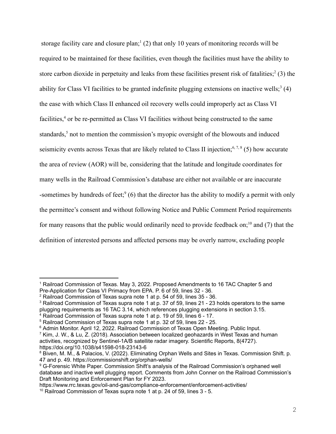storage facility care and closure plan; $(2)$  that only 10 years of monitoring records will be required to be maintained for these facilities, even though the facilities must have the ability to store carbon dioxide in perpetuity and leaks from these facilities present risk of fatalities;<sup>2</sup> (3) the ability for Class VI facilities to be granted indefinite plugging extensions on inactive wells;<sup>3</sup> (4) the ease with which Class II enhanced oil recovery wells could improperly act as Class VI facilities,<sup>4</sup> or be re-permitted as Class VI facilities without being constructed to the same standards,<sup>5</sup> not to mention the commission's myopic oversight of the blowouts and induced seismicity events across Texas that are likely related to Class II injection;<sup>6,7,8</sup> (5) how accurate the area of review (AOR) will be, considering that the latitude and longitude coordinates for many wells in the Railroad Commission's database are either not available or are inaccurate -sometimes by hundreds of feet;  $(6)$  that the director has the ability to modify a permit with only the permittee's consent and without following Notice and Public Comment Period requirements for many reasons that the public would ordinarily need to provide feedback on;<sup>10</sup> and (7) that the definition of interested persons and affected persons may be overly narrow, excluding people

https://www.rrc.texas.gov/oil-and-gas/compliance-enforcement/enforcement-activities/

<sup>1</sup> Railroad Commission of Texas. May 3, 2022. Proposed Amendments to 16 TAC Chapter 5 and Pre-Application for Class VI Primacy from EPA. P. 6 of 59, lines 32 - 36.

<sup>2</sup> Railroad Commission of Texas supra note 1 at p. 54 of 59, lines 35 - 36.

<sup>&</sup>lt;sup>3</sup> Railroad Commission of Texas supra note 1 at p. 37 of 59, lines 21 - 23 holds operators to the same plugging requirements as 16 TAC 3.14, which references plugging extensions in section 3.15.

<sup>&</sup>lt;sup>4</sup> Railroad Commission of Texas supra note 1 at p. 19 of 59, lines 6 - 17.

<sup>5</sup> Railroad Commission of Texas supra note 1 at p. 32 of 59, lines 22 - 25.

<sup>7</sup> Kim, J. W., & Lu, Z. (2018). Association between localized geohazards in West Texas and human <sup>6</sup> Admin Monitor. April 12, 2022. Railroad Commission of Texas Open Meeting. Public Input.

activities, recognized by Sentinel-1A/B satellite radar imagery. Scientific Reports, 8(4727). https://doi.org/10.1038/s41598-018-23143-6

<sup>8</sup> Biven, M. M., & Palacios, V. (2022). Eliminating Orphan Wells and Sites in Texas. Commission Shift. p. 47 and p. 49. https://commissionshift.org/orphan-wells/

<sup>9</sup> G-Forensic White Paper. Commission Shift's analysis of the Railroad Commission's orphaned well database and inactive well plugging report. Comments from John Conner on the Railroad Commission's Draft Monitoring and Enforcement Plan for FY 2023.

<sup>&</sup>lt;sup>10</sup> Railroad Commission of Texas supra note 1 at p. 24 of 59, lines 3 - 5.